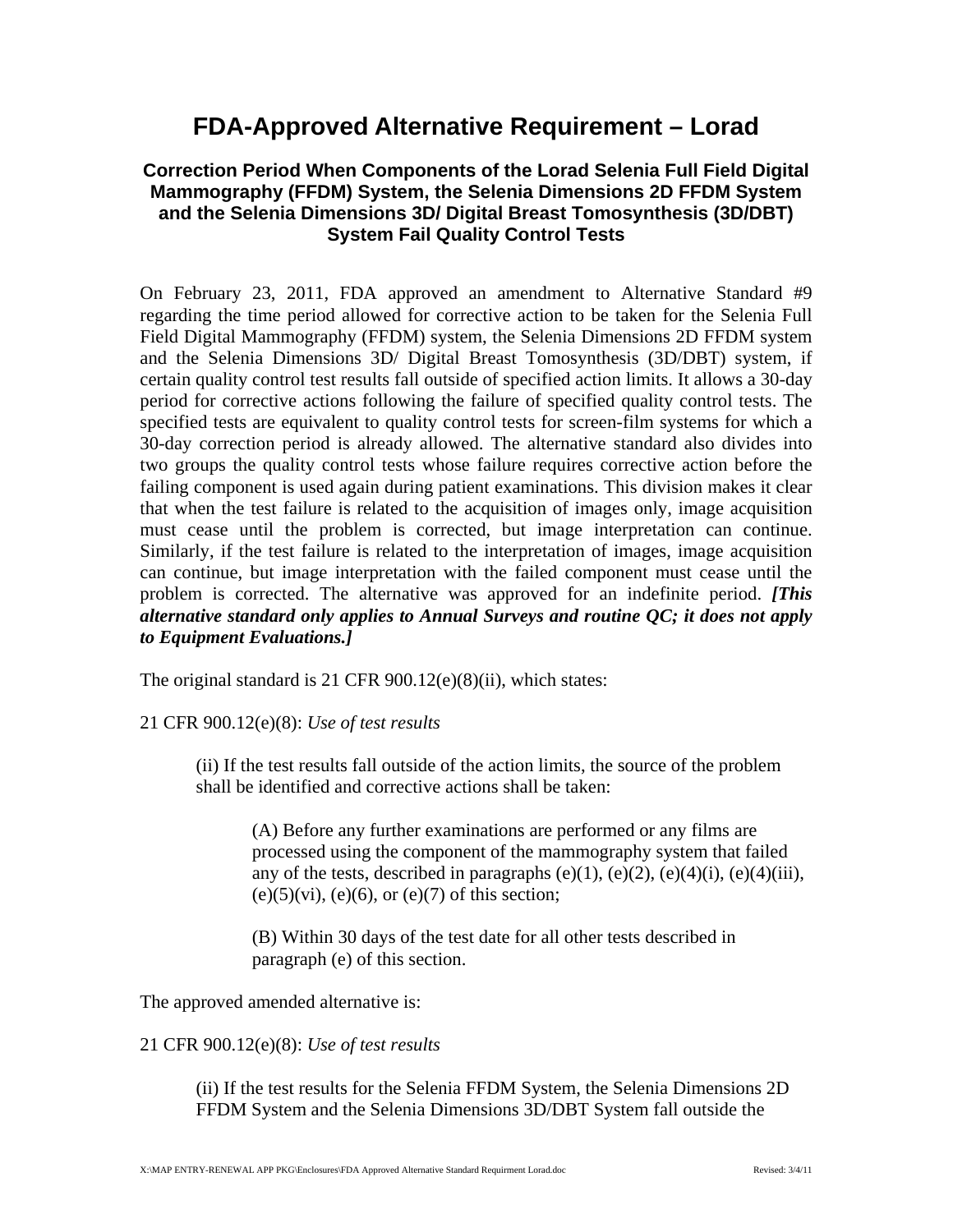## **FDA-Approved Alternative Requirement – Lorad**

## **Correction Period When Components of the Lorad Selenia Full Field Digital Mammography (FFDM) System, the Selenia Dimensions 2D FFDM System and the Selenia Dimensions 3D/ Digital Breast Tomosynthesis (3D/DBT) System Fail Quality Control Tests**

On February 23, 2011, FDA approved an amendment to Alternative Standard #9 regarding the time period allowed for corrective action to be taken for the Selenia Full Field Digital Mammography (FFDM) system, the Selenia Dimensions 2D FFDM system and the Selenia Dimensions 3D/ Digital Breast Tomosynthesis (3D/DBT) system, if certain quality control test results fall outside of specified action limits. It allows a 30-day period for corrective actions following the failure of specified quality control tests. The specified tests are equivalent to quality control tests for screen-film systems for which a 30-day correction period is already allowed. The alternative standard also divides into two groups the quality control tests whose failure requires corrective action before the failing component is used again during patient examinations. This division makes it clear that when the test failure is related to the acquisition of images only, image acquisition must cease until the problem is corrected, but image interpretation can continue. Similarly, if the test failure is related to the interpretation of images, image acquisition can continue, but image interpretation with the failed component must cease until the problem is corrected. The alternative was approved for an indefinite period. *[This alternative standard only applies to Annual Surveys and routine QC; it does not apply to Equipment Evaluations.]* 

The original standard is 21 CFR 900.12(e)(8)(ii), which states:

## 21 CFR 900.12(e)(8): *Use of test results*

(ii) If the test results fall outside of the action limits, the source of the problem shall be identified and corrective actions shall be taken:

(A) Before any further examinations are performed or any films are processed using the component of the mammography system that failed any of the tests, described in paragraphs (e)(1), (e)(2), (e)(4)(i), (e)(4)(iii),  $(e)(5)(vi)$ ,  $(e)(6)$ , or  $(e)(7)$  of this section;

(B) Within 30 days of the test date for all other tests described in paragraph (e) of this section.

The approved amended alternative is:

21 CFR 900.12(e)(8): *Use of test results* 

(ii) If the test results for the Selenia FFDM System, the Selenia Dimensions 2D FFDM System and the Selenia Dimensions 3D/DBT System fall outside the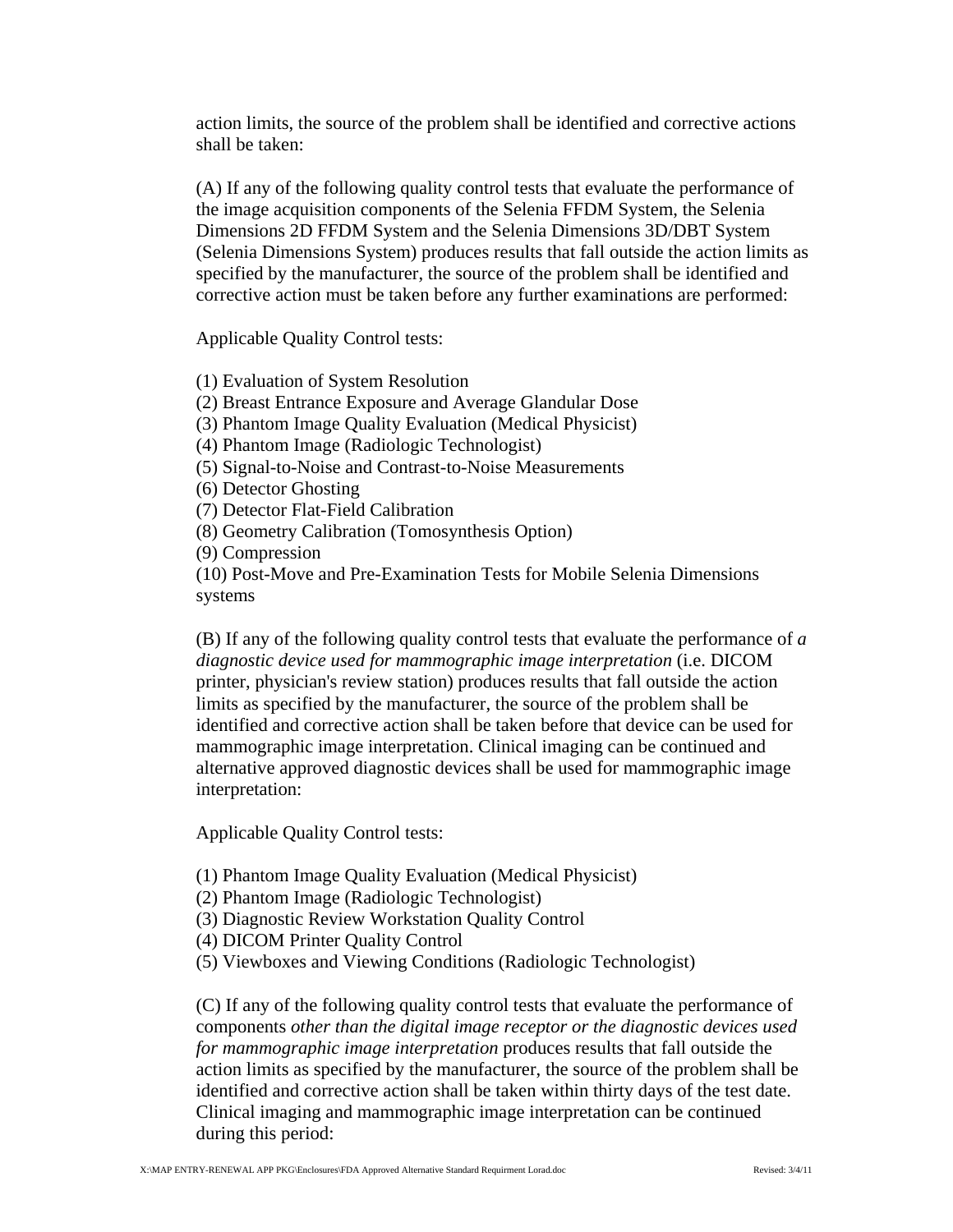action limits, the source of the problem shall be identified and corrective actions shall be taken:

(A) If any of the following quality control tests that evaluate the performance of the image acquisition components of the Selenia FFDM System, the Selenia Dimensions 2D FFDM System and the Selenia Dimensions 3D/DBT System (Selenia Dimensions System) produces results that fall outside the action limits as specified by the manufacturer, the source of the problem shall be identified and corrective action must be taken before any further examinations are performed:

Applicable Quality Control tests:

(1) Evaluation of System Resolution

(2) Breast Entrance Exposure and Average Glandular Dose

(3) Phantom Image Quality Evaluation (Medical Physicist)

(4) Phantom Image (Radiologic Technologist)

(5) Signal-to-Noise and Contrast-to-Noise Measurements

(6) Detector Ghosting

(7) Detector Flat-Field Calibration

(8) Geometry Calibration (Tomosynthesis Option)

(9) Compression

(10) Post-Move and Pre-Examination Tests for Mobile Selenia Dimensions systems

(B) If any of the following quality control tests that evaluate the performance of *a diagnostic device used for mammographic image interpretation* (i.e. DICOM printer, physician's review station) produces results that fall outside the action limits as specified by the manufacturer, the source of the problem shall be identified and corrective action shall be taken before that device can be used for mammographic image interpretation. Clinical imaging can be continued and alternative approved diagnostic devices shall be used for mammographic image interpretation:

Applicable Quality Control tests:

(1) Phantom Image Quality Evaluation (Medical Physicist)

(2) Phantom Image (Radiologic Technologist)

(3) Diagnostic Review Workstation Quality Control

(4) DICOM Printer Quality Control

(5) Viewboxes and Viewing Conditions (Radiologic Technologist)

(C) If any of the following quality control tests that evaluate the performance of components *other than the digital image receptor or the diagnostic devices used for mammographic image interpretation* produces results that fall outside the action limits as specified by the manufacturer, the source of the problem shall be identified and corrective action shall be taken within thirty days of the test date. Clinical imaging and mammographic image interpretation can be continued during this period: